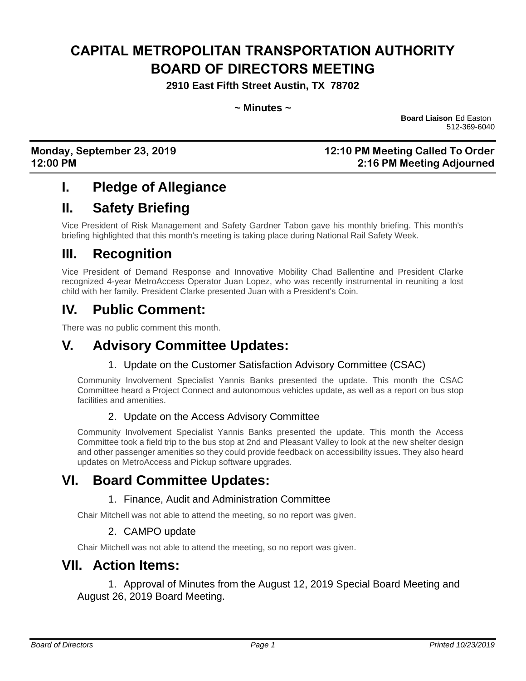# **CAPITAL METROPOLITAN TRANSPORTATION AUTHORITY BOARD OF DIRECTORS MEETING**

**2910 East Fifth Street Austin, TX 78702**

**~ Minutes ~**

**Board Liaison** Ed Easton 512-369-6040

### **Monday, September 23, 2019 12:10 PM Meeting Called To Order 12:00 PM 2:16 PM Meeting Adjourned**

### **I. Pledge of Allegiance**

## **II. Safety Briefing**

Vice President of Risk Management and Safety Gardner Tabon gave his monthly briefing. This month's briefing highlighted that this month's meeting is taking place during National Rail Safety Week.

### **III. Recognition**

Vice President of Demand Response and Innovative Mobility Chad Ballentine and President Clarke recognized 4-year MetroAccess Operator Juan Lopez, who was recently instrumental in reuniting a lost child with her family. President Clarke presented Juan with a President's Coin.

## **IV. Public Comment:**

There was no public comment this month.

## **V. Advisory Committee Updates:**

#### 1. Update on the Customer Satisfaction Advisory Committee (CSAC)

Community Involvement Specialist Yannis Banks presented the update. This month the CSAC Committee heard a Project Connect and autonomous vehicles update, as well as a report on bus stop facilities and amenities.

### 2. Update on the Access Advisory Committee

Community Involvement Specialist Yannis Banks presented the update. This month the Access Committee took a field trip to the bus stop at 2nd and Pleasant Valley to look at the new shelter design and other passenger amenities so they could provide feedback on accessibility issues. They also heard updates on MetroAccess and Pickup software upgrades.

### **VI. Board Committee Updates:**

### 1. Finance, Audit and Administration Committee

Chair Mitchell was not able to attend the meeting, so no report was given.

#### 2. CAMPO update

Chair Mitchell was not able to attend the meeting, so no report was given.

### **VII. Action Items:**

1. Approval of Minutes from the August 12, 2019 Special Board Meeting and August 26, 2019 Board Meeting.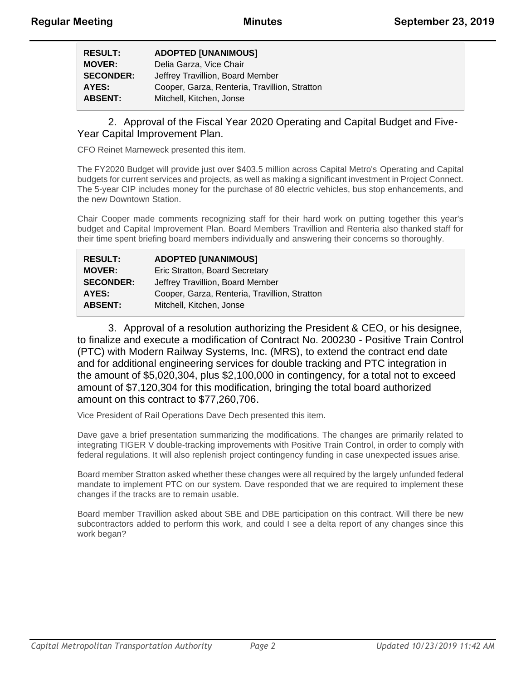| <b>RESULT:</b>   | <b>ADOPTED [UNANIMOUS]</b>                    |
|------------------|-----------------------------------------------|
| <b>MOVER:</b>    | Delia Garza, Vice Chair                       |
| <b>SECONDER:</b> | Jeffrey Travillion, Board Member              |
| AYES:            | Cooper, Garza, Renteria, Travillion, Stratton |
| <b>ABSENT:</b>   | Mitchell, Kitchen, Jonse                      |

#### 2. Approval of the Fiscal Year 2020 Operating and Capital Budget and Five-Year Capital Improvement Plan.

CFO Reinet Marneweck presented this item.

The FY2020 Budget will provide just over \$403.5 million across Capital Metro's Operating and Capital budgets for current services and projects, as well as making a significant investment in Project Connect. The 5-year CIP includes money for the purchase of 80 electric vehicles, bus stop enhancements, and the new Downtown Station.

Chair Cooper made comments recognizing staff for their hard work on putting together this year's budget and Capital Improvement Plan. Board Members Travillion and Renteria also thanked staff for their time spent briefing board members individually and answering their concerns so thoroughly.

| <b>RESULT:</b>   | <b>ADOPTED [UNANIMOUS]</b>                    |
|------------------|-----------------------------------------------|
| <b>MOVER:</b>    | Eric Stratton, Board Secretary                |
| <b>SECONDER:</b> | Jeffrey Travillion, Board Member              |
| AYES:            | Cooper, Garza, Renteria, Travillion, Stratton |
| <b>ABSENT:</b>   | Mitchell, Kitchen, Jonse                      |

3. Approval of a resolution authorizing the President & CEO, or his designee, to finalize and execute a modification of Contract No. 200230 - Positive Train Control (PTC) with Modern Railway Systems, Inc. (MRS), to extend the contract end date and for additional engineering services for double tracking and PTC integration in the amount of \$5,020,304, plus \$2,100,000 in contingency, for a total not to exceed amount of \$7,120,304 for this modification, bringing the total board authorized amount on this contract to \$77,260,706.

Vice President of Rail Operations Dave Dech presented this item.

Dave gave a brief presentation summarizing the modifications. The changes are primarily related to integrating TIGER V double-tracking improvements with Positive Train Control, in order to comply with federal regulations. It will also replenish project contingency funding in case unexpected issues arise.

Board member Stratton asked whether these changes were all required by the largely unfunded federal mandate to implement PTC on our system. Dave responded that we are required to implement these changes if the tracks are to remain usable.

Board member Travillion asked about SBE and DBE participation on this contract. Will there be new subcontractors added to perform this work, and could I see a delta report of any changes since this work began?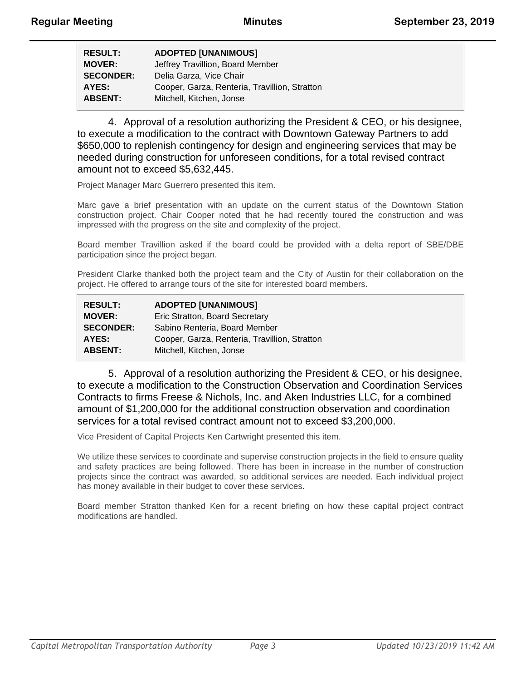| <b>RESULT:</b>   | <b>ADOPTED [UNANIMOUS]</b>                    |
|------------------|-----------------------------------------------|
| <b>MOVER:</b>    | Jeffrey Travillion, Board Member              |
| <b>SECONDER:</b> | Delia Garza, Vice Chair                       |
| AYES:            | Cooper, Garza, Renteria, Travillion, Stratton |
| <b>ABSENT:</b>   | Mitchell, Kitchen, Jonse                      |

4. Approval of a resolution authorizing the President & CEO, or his designee, to execute a modification to the contract with Downtown Gateway Partners to add \$650,000 to replenish contingency for design and engineering services that may be needed during construction for unforeseen conditions, for a total revised contract amount not to exceed \$5,632,445.

Project Manager Marc Guerrero presented this item.

Marc gave a brief presentation with an update on the current status of the Downtown Station construction project. Chair Cooper noted that he had recently toured the construction and was impressed with the progress on the site and complexity of the project.

Board member Travillion asked if the board could be provided with a delta report of SBE/DBE participation since the project began.

President Clarke thanked both the project team and the City of Austin for their collaboration on the project. He offered to arrange tours of the site for interested board members.

| <b>RESULT:</b>   | <b>ADOPTED [UNANIMOUS]</b>                    |
|------------------|-----------------------------------------------|
| <b>MOVER:</b>    | Eric Stratton, Board Secretary                |
| <b>SECONDER:</b> | Sabino Renteria, Board Member                 |
| AYES:            | Cooper, Garza, Renteria, Travillion, Stratton |
| <b>ABSENT:</b>   | Mitchell, Kitchen, Jonse                      |

5. Approval of a resolution authorizing the President & CEO, or his designee, to execute a modification to the Construction Observation and Coordination Services Contracts to firms Freese & Nichols, Inc. and Aken Industries LLC, for a combined amount of \$1,200,000 for the additional construction observation and coordination services for a total revised contract amount not to exceed \$3,200,000.

Vice President of Capital Projects Ken Cartwright presented this item.

We utilize these services to coordinate and supervise construction projects in the field to ensure quality and safety practices are being followed. There has been in increase in the number of construction projects since the contract was awarded, so additional services are needed. Each individual project has money available in their budget to cover these services.

Board member Stratton thanked Ken for a recent briefing on how these capital project contract modifications are handled.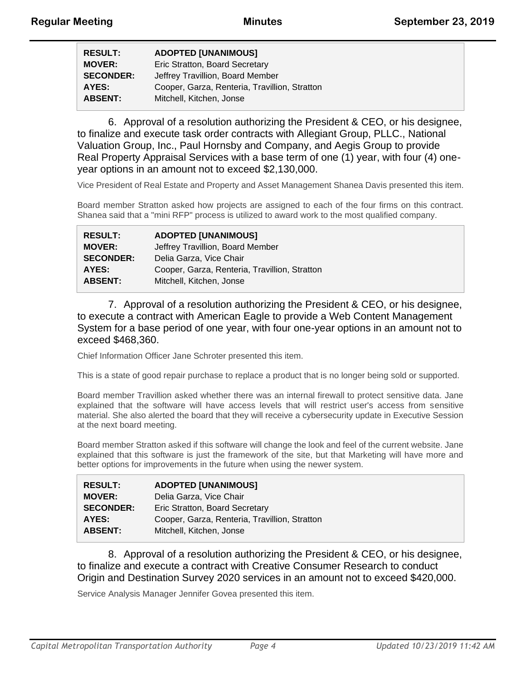| <b>RESULT:</b>   | <b>ADOPTED [UNANIMOUS]</b>                    |
|------------------|-----------------------------------------------|
| <b>MOVER:</b>    | Eric Stratton, Board Secretary                |
| <b>SECONDER:</b> | Jeffrey Travillion, Board Member              |
| AYES:            | Cooper, Garza, Renteria, Travillion, Stratton |
| <b>ABSENT:</b>   | Mitchell, Kitchen, Jonse                      |

6. Approval of a resolution authorizing the President & CEO, or his designee, to finalize and execute task order contracts with Allegiant Group, PLLC., National Valuation Group, Inc., Paul Hornsby and Company, and Aegis Group to provide Real Property Appraisal Services with a base term of one (1) year, with four (4) oneyear options in an amount not to exceed \$2,130,000.

Vice President of Real Estate and Property and Asset Management Shanea Davis presented this item.

Board member Stratton asked how projects are assigned to each of the four firms on this contract. Shanea said that a "mini RFP" process is utilized to award work to the most qualified company.

| <b>RESULT:</b>   | <b>ADOPTED [UNANIMOUS]</b>                    |
|------------------|-----------------------------------------------|
| <b>MOVER:</b>    | Jeffrey Travillion, Board Member              |
| <b>SECONDER:</b> | Delia Garza, Vice Chair                       |
| AYES:            | Cooper, Garza, Renteria, Travillion, Stratton |
| <b>ABSENT:</b>   | Mitchell, Kitchen, Jonse                      |

7. Approval of a resolution authorizing the President & CEO, or his designee, to execute a contract with American Eagle to provide a Web Content Management System for a base period of one year, with four one-year options in an amount not to exceed \$468,360.

Chief Information Officer Jane Schroter presented this item.

This is a state of good repair purchase to replace a product that is no longer being sold or supported.

Board member Travillion asked whether there was an internal firewall to protect sensitive data. Jane explained that the software will have access levels that will restrict user's access from sensitive material. She also alerted the board that they will receive a cybersecurity update in Executive Session at the next board meeting.

Board member Stratton asked if this software will change the look and feel of the current website. Jane explained that this software is just the framework of the site, but that Marketing will have more and better options for improvements in the future when using the newer system.

| <b>ADOPTED [UNANIMOUS]</b>                    |
|-----------------------------------------------|
| Delia Garza, Vice Chair                       |
| Eric Stratton, Board Secretary                |
| Cooper, Garza, Renteria, Travillion, Stratton |
| Mitchell, Kitchen, Jonse                      |
|                                               |

8. Approval of a resolution authorizing the President & CEO, or his designee, to finalize and execute a contract with Creative Consumer Research to conduct Origin and Destination Survey 2020 services in an amount not to exceed \$420,000.

Service Analysis Manager Jennifer Govea presented this item.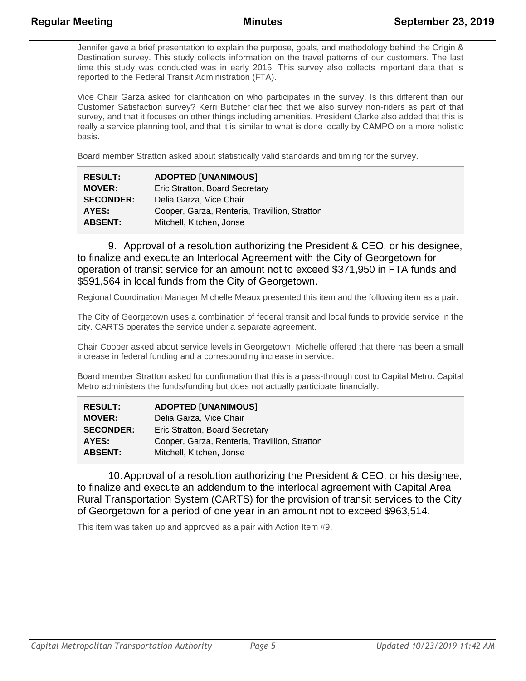Jennifer gave a brief presentation to explain the purpose, goals, and methodology behind the Origin & Destination survey. This study collects information on the travel patterns of our customers. The last time this study was conducted was in early 2015. This survey also collects important data that is reported to the Federal Transit Administration (FTA).

Vice Chair Garza asked for clarification on who participates in the survey. Is this different than our Customer Satisfaction survey? Kerri Butcher clarified that we also survey non-riders as part of that survey, and that it focuses on other things including amenities. President Clarke also added that this is really a service planning tool, and that it is similar to what is done locally by CAMPO on a more holistic basis.

Board member Stratton asked about statistically valid standards and timing for the survey.

| <b>RESULT:</b>   | <b>ADOPTED [UNANIMOUS]</b>                    |
|------------------|-----------------------------------------------|
| <b>MOVER:</b>    | Eric Stratton, Board Secretary                |
| <b>SECONDER:</b> | Delia Garza, Vice Chair                       |
| AYES:            | Cooper, Garza, Renteria, Travillion, Stratton |
| <b>ABSENT:</b>   | Mitchell, Kitchen, Jonse                      |

9. Approval of a resolution authorizing the President & CEO, or his designee, to finalize and execute an Interlocal Agreement with the City of Georgetown for operation of transit service for an amount not to exceed \$371,950 in FTA funds and \$591,564 in local funds from the City of Georgetown.

Regional Coordination Manager Michelle Meaux presented this item and the following item as a pair.

The City of Georgetown uses a combination of federal transit and local funds to provide service in the city. CARTS operates the service under a separate agreement.

Chair Cooper asked about service levels in Georgetown. Michelle offered that there has been a small increase in federal funding and a corresponding increase in service.

Board member Stratton asked for confirmation that this is a pass-through cost to Capital Metro. Capital Metro administers the funds/funding but does not actually participate financially.

| <b>RESULT:</b>   | <b>ADOPTED [UNANIMOUS]</b>                    |
|------------------|-----------------------------------------------|
| <b>MOVER:</b>    | Delia Garza, Vice Chair                       |
| <b>SECONDER:</b> | Eric Stratton, Board Secretary                |
| AYES:            | Cooper, Garza, Renteria, Travillion, Stratton |
| <b>ABSENT:</b>   | Mitchell, Kitchen, Jonse                      |

10.Approval of a resolution authorizing the President & CEO, or his designee, to finalize and execute an addendum to the interlocal agreement with Capital Area Rural Transportation System (CARTS) for the provision of transit services to the City of Georgetown for a period of one year in an amount not to exceed \$963,514.

This item was taken up and approved as a pair with Action Item #9.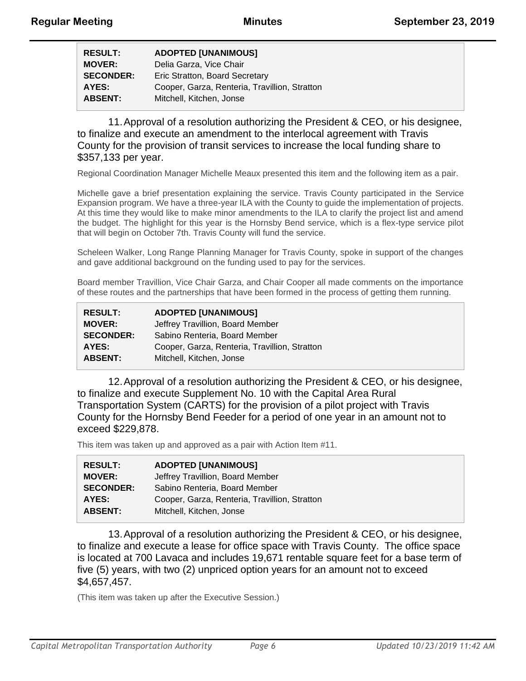| <b>RESULT:</b>   | <b>ADOPTED [UNANIMOUS]</b>                    |
|------------------|-----------------------------------------------|
| <b>MOVER:</b>    | Delia Garza, Vice Chair                       |
| <b>SECONDER:</b> | Eric Stratton, Board Secretary                |
| AYES:            | Cooper, Garza, Renteria, Travillion, Stratton |
| <b>ABSENT:</b>   | Mitchell, Kitchen, Jonse                      |

11.Approval of a resolution authorizing the President & CEO, or his designee, to finalize and execute an amendment to the interlocal agreement with Travis County for the provision of transit services to increase the local funding share to \$357,133 per year.

Regional Coordination Manager Michelle Meaux presented this item and the following item as a pair.

Michelle gave a brief presentation explaining the service. Travis County participated in the Service Expansion program. We have a three-year ILA with the County to guide the implementation of projects. At this time they would like to make minor amendments to the ILA to clarify the project list and amend the budget. The highlight for this year is the Hornsby Bend service, which is a flex-type service pilot that will begin on October 7th. Travis County will fund the service.

Scheleen Walker, Long Range Planning Manager for Travis County, spoke in support of the changes and gave additional background on the funding used to pay for the services.

Board member Travillion, Vice Chair Garza, and Chair Cooper all made comments on the importance of these routes and the partnerships that have been formed in the process of getting them running.

| <b>RESULT:</b>   | <b>ADOPTED [UNANIMOUS]</b>                    |
|------------------|-----------------------------------------------|
| <b>MOVER:</b>    | Jeffrey Travillion, Board Member              |
| <b>SECONDER:</b> | Sabino Renteria, Board Member                 |
| AYES:            | Cooper, Garza, Renteria, Travillion, Stratton |
| <b>ABSENT:</b>   | Mitchell, Kitchen, Jonse                      |

12.Approval of a resolution authorizing the President & CEO, or his designee, to finalize and execute Supplement No. 10 with the Capital Area Rural Transportation System (CARTS) for the provision of a pilot project with Travis County for the Hornsby Bend Feeder for a period of one year in an amount not to exceed \$229,878.

This item was taken up and approved as a pair with Action Item #11.

| <b>ADOPTED [UNANIMOUS]</b>                    |
|-----------------------------------------------|
| Jeffrey Travillion, Board Member              |
| Sabino Renteria, Board Member                 |
| Cooper, Garza, Renteria, Travillion, Stratton |
| Mitchell, Kitchen, Jonse                      |
|                                               |

13.Approval of a resolution authorizing the President & CEO, or his designee, to finalize and execute a lease for office space with Travis County. The office space is located at 700 Lavaca and includes 19,671 rentable square feet for a base term of five (5) years, with two (2) unpriced option years for an amount not to exceed \$4,657,457.

(This item was taken up after the Executive Session.)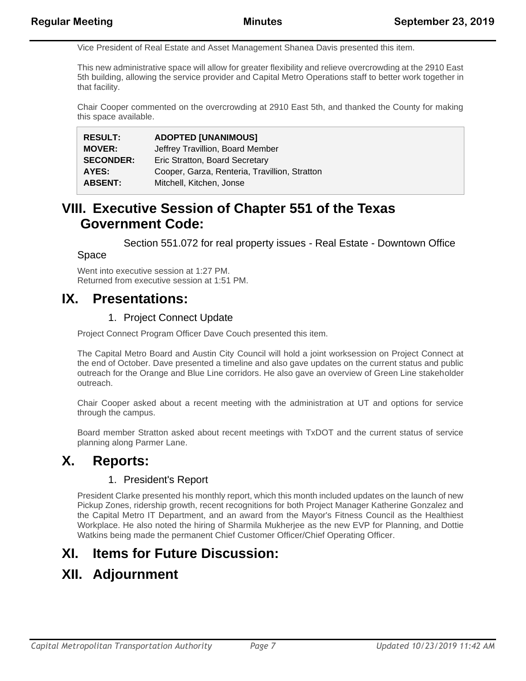Vice President of Real Estate and Asset Management Shanea Davis presented this item.

This new administrative space will allow for greater flexibility and relieve overcrowding at the 2910 East 5th building, allowing the service provider and Capital Metro Operations staff to better work together in that facility.

Chair Cooper commented on the overcrowding at 2910 East 5th, and thanked the County for making this space available.

| <b>RESULT:</b>   | <b>ADOPTED [UNANIMOUS]</b>                    |
|------------------|-----------------------------------------------|
| <b>MOVER:</b>    | Jeffrey Travillion, Board Member              |
| <b>SECONDER:</b> | Eric Stratton, Board Secretary                |
| AYES:            | Cooper, Garza, Renteria, Travillion, Stratton |
| <b>ABSENT:</b>   | Mitchell, Kitchen, Jonse                      |

## **VIII. Executive Session of Chapter 551 of the Texas Government Code:**

Section 551.072 for real property issues - Real Estate - Downtown Office

#### Space

Went into executive session at 1:27 PM. Returned from executive session at 1:51 PM.

### **IX. Presentations:**

#### 1. Project Connect Update

Project Connect Program Officer Dave Couch presented this item.

The Capital Metro Board and Austin City Council will hold a joint worksession on Project Connect at the end of October. Dave presented a timeline and also gave updates on the current status and public outreach for the Orange and Blue Line corridors. He also gave an overview of Green Line stakeholder outreach.

Chair Cooper asked about a recent meeting with the administration at UT and options for service through the campus.

Board member Stratton asked about recent meetings with TxDOT and the current status of service planning along Parmer Lane.

### **X. Reports:**

### 1. President's Report

President Clarke presented his monthly report, which this month included updates on the launch of new Pickup Zones, ridership growth, recent recognitions for both Project Manager Katherine Gonzalez and the Capital Metro IT Department, and an award from the Mayor's Fitness Council as the Healthiest Workplace. He also noted the hiring of Sharmila Mukherjee as the new EVP for Planning, and Dottie Watkins being made the permanent Chief Customer Officer/Chief Operating Officer.

## **XI. Items for Future Discussion:**

## **XII. Adjournment**